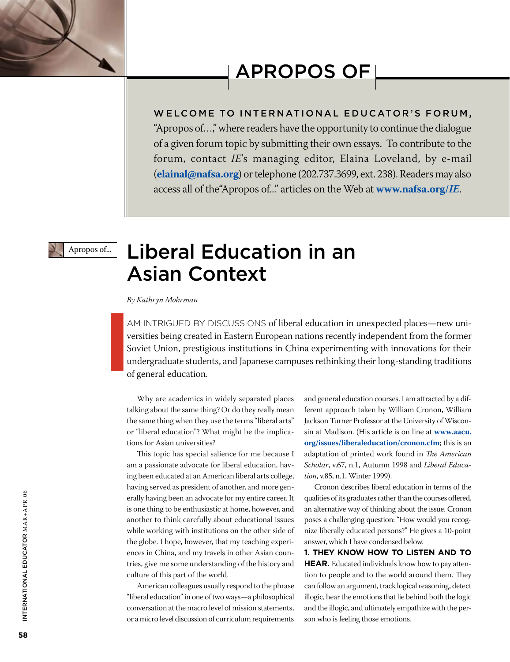

# APROPOS OF

## W ELCOME TO INTERNATIONAL EDUCATOR'S FORUM,

"Apropos of…," where readers have the opportunity to continue the dialogue of a given forum topic by submitting their own essays. To contribute to the forum, contact *IE*'s managing editor, Elaina Loveland, by e-mail (**elainal@nafsa.org**) or telephone (202.737.3699, ext. 238). Readers may also access all of the"Apropos of..." articles on the Web at **www.nafsa.org/***IE*.

## Apropos of... Liberal Education in an Asian Context

#### *By Kathryn Mohrman*

am intrigued by discussions of liberal education in unexpected places—new universities being created in Eastern European nations recently independent from the former Soviet Union, prestigious institutions in China experimenting with innovations for their AM INTRIGUED BY DISCUSSIONS of liberal education in unexpected places—new universities being created in Eastern European nations recently independent from the former Soviet Union, prestigious institutions in China experime

Why are academics in widely separated places talking about the same thing? Or do they really mean the same thing when they use the terms "liberal arts" or "liberal education"? What might be the implications for Asian universities?

This topic has special salience for me because I am a passionate advocate for liberal education, having been educated at an American liberal arts college, having served as president of another, and more generally having been an advocate for my entire career. It is one thing to be enthusiastic at home, however, and another to think carefully about educational issues while working with institutions on the other side of the globe. I hope, however, that my teaching experiences in China, and my travels in other Asian countries, give me some understanding of the history and culture of this part of the world.

American colleagues usually respond to the phrase "liberal education" in one of two ways—a philosophical conversation at the macro level of mission statements, or a micro level discussion of curriculum requirements

and general education courses. I am attracted by a different approach taken by William Cronon, William Jackson Turner Professor at the University of Wisconsin at Madison. (His article is on line at **www.aacu. org/issues/liberaleducation/cronon.cfm**; this is an adaptation of printed work found in *The American Scholar*, v.67, n.1, Autumn 1998 and *Liberal Education*, v.85, n.1, Winter 1999).

Cronon describes liberal education in terms of the qualities of its graduates rather than the courses offered, an alternative way of thinking about the issue. Cronon poses a challenging question: "How would you recognize liberally educated persons?" He gives a 10-point answer, which I have condensed below.

**1. They know how to listen and to HEAR.** Educated individuals know how to pay attention to people and to the world around them. They can follow an argument, track logical reasoning, detect illogic, hear the emotions that lie behind both the logic and the illogic, and ultimately empathize with the person who is feeling those emotions.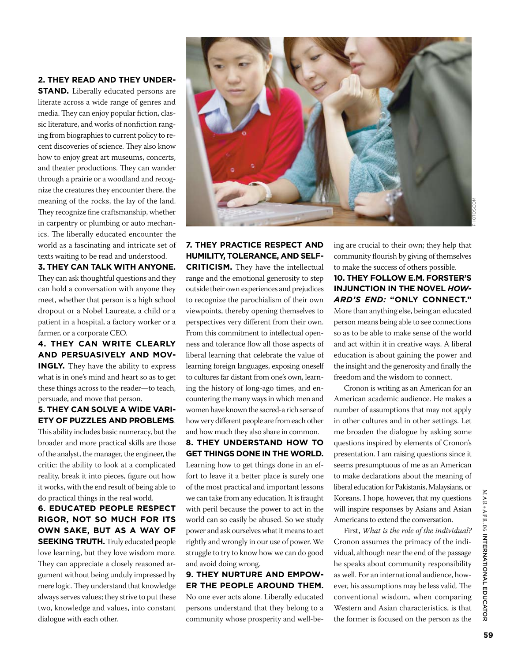**2. They read and they under-**

**STAND.** Liberally educated persons are literate across a wide range of genres and media. They can enjoy popular fiction, classic literature, and works of nonfiction ranging from biographies to current policy to recent discoveries of science. They also know how to enjoy great art museums, concerts, and theater productions. They can wander through a prairie or a woodland and recognize the creatures they encounter there, the meaning of the rocks, the lay of the land. They recognize fine craftsmanship, whether in carpentry or plumbing or auto mechanics. The liberally educated encounter the world as a fascinating and intricate set of texts waiting to be read and understood.

**3. They can talk with anyone.**  They can ask thoughtful questions and they can hold a conversation with anyone they meet, whether that person is a high school dropout or a Nobel Laureate, a child or a patient in a hospital, a factory worker or a farmer, or a corporate CEO.

**4. They can write clearly and persuasively and mov-INGLY.** They have the ability to express what is in one's mind and heart so as to get these things across to the reader—to teach, persuade, and move that person.

**5. They can solve a wide variety of puzzles and problems**.

This ability includes basic numeracy, but the broader and more practical skills are those of the analyst, the manager, the engineer, the critic: the ability to look at a complicated reality, break it into pieces, figure out how it works, with the end result of being able to do practical things in the real world.

**6. Educated people respect rigor, not so much for its own sake, but as a way of SEEKING TRUTH.** Truly educated people love learning, but they love wisdom more. They can appreciate a closely reasoned argument without being unduly impressed by mere logic. They understand that knowledge always serves values; they strive to put these two, knowledge and values, into constant dialogue with each other.



**humility, tolerance, and self-CRITICISM.** They have the intellectual range and the emotional generosity to step outside their own experiences and prejudices to recognize the parochialism of their own viewpoints, thereby opening themselves to perspectives very different from their own. From this commitment to intellectual openness and tolerance flow all those aspects of liberal learning that celebrate the value of learning foreign languages, exposing oneself to cultures far distant from one's own, learning the history of long-ago times, and encountering the many ways in which men and women have known the sacred-a rich sense of how very different people are from each other

**7. They practice respect and** 

**8. They understand how to get things done in the world.** Learning how to get things done in an effort to leave it a better place is surely one of the most practical and important lessons we can take from any education. It is fraught with peril because the power to act in the world can so easily be abused. So we study power and ask ourselves what it means to act rightly and wrongly in our use of power. We struggle to try to know how we can do good and avoid doing wrong.

and how much they also share in common.

**9. They nurture and empower the people around them.**  No one ever acts alone. Liberally educated

persons understand that they belong to a community whose prosperity and well-being are crucial to their own; they help that community flourish by giving of themselves to make the success of others possible.

### **10. They follow E.M. Forster's injunction in the novel** *Howard's End:* **"Only connect."**

More than anything else, being an educated person means being able to see connections so as to be able to make sense of the world and act within it in creative ways. A liberal education is about gaining the power and the insight and the generosity and finally the freedom and the wisdom to connect.

Cronon is writing as an American for an American academic audience. He makes a number of assumptions that may not apply in other cultures and in other settings. Let me broaden the dialogue by asking some questions inspired by elements of Cronon's presentation. I am raising questions since it seems presumptuous of me as an American to make declarations about the meaning of liberal education for Pakistanis, Malaysians, or Koreans. I hope, however, that my questions will inspire responses by Asians and Asian Americans to extend the conversation.

First, *What is the role of the individual?*  Cronon assumes the primacy of the individual, although near the end of the passage he speaks about community responsibility as well. For an international audience, however, his assumptions may be less valid. The conventional wisdom, when comparing Western and Asian characteristics, is that the former is focused on the person as the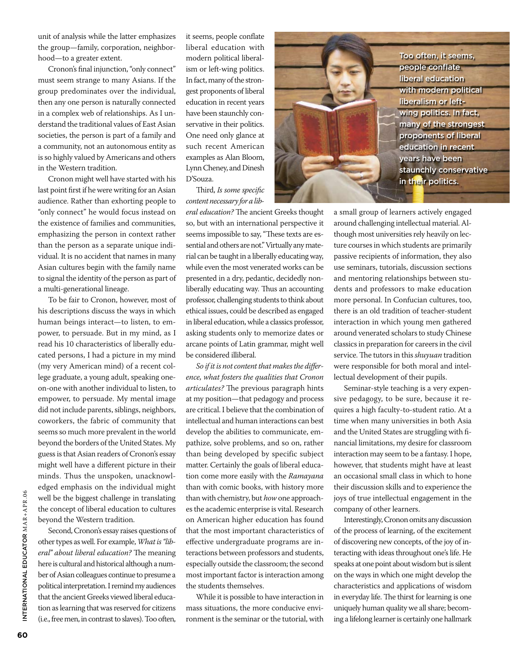unit of analysis while the latter emphasizes the group—family, corporation, neighborhood—to a greater extent.

Cronon's final injunction, "only connect" must seem strange to many Asians. If the group predominates over the individual, then any one person is naturally connected in a complex web of relationships. As I understand the traditional values of East Asian societies, the person is part of a family and a community, not an autonomous entity as is so highly valued by Americans and others in the Western tradition.

Cronon might well have started with his last point first if he were writing for an Asian audience. Rather than exhorting people to "only connect" he would focus instead on the existence of families and communities, emphasizing the person in context rather than the person as a separate unique individual. It is no accident that names in many Asian cultures begin with the family name to signal the identity of the person as part of a multi-generational lineage.

To be fair to Cronon, however, most of his descriptions discuss the ways in which human beings interact—to listen, to empower, to persuade. But in my mind, as I read his 10 characteristics of liberally educated persons, I had a picture in my mind (my very American mind) of a recent college graduate, a young adult, speaking oneon-one with another individual to listen, to empower, to persuade. My mental image did not include parents, siblings, neighbors, coworkers, the fabric of community that seems so much more prevalent in the world beyond the borders of the United States. My guess is that Asian readers of Cronon's essay might well have a different picture in their minds. Thus the unspoken, unacknowledged emphasis on the individual might well be the biggest challenge in translating the concept of liberal education to cultures beyond the Western tradition.

Second, Cronon's essay raises questions of other types as well. For example, *What is "liberal" about liberal education?* The meaning here is cultural and historical although a number of Asian colleagues continue to presume a political interpretation. I remind my audiences that the ancient Greeks viewed liberal education as learning that was reserved for citizens (i.e., free men, in contrast to slaves). Too often,

it seems, people conflate liberal education with modern political liberalism or left-wing politics. In fact, many of the strongest proponents of liberal education in recent years have been staunchly conservative in their politics. One need only glance at such recent American examples as Alan Bloom, Lynn Cheney, and Dinesh D'Souza.

Third, *Is some specific content necessary for a lib-*

*eral education?* The ancient Greeks thought so, but with an international perspective it seems impossible to say, "These texts are essential and others are not." Virtually any material can be taught in a liberally educating way, while even the most venerated works can be presented in a dry, pedantic, decidedly nonliberally educating way. Thus an accounting professor, challenging students to think about ethical issues, could be described as engaged in liberal education, while a classics professor, asking students only to memorize dates or arcane points of Latin grammar, might well be considered illiberal.

*So if it is not content that makes the difference, what fosters the qualities that Cronon articulates?* The previous paragraph hints at my position—that pedagogy and process are critical. I believe that the combination of intellectual and human interactions can best develop the abilities to communicate, empathize, solve problems, and so on, rather than being developed by specific subject matter. Certainly the goals of liberal education come more easily with the *Ramayana* than with comic books, with history more than with chemistry, but *how* one approaches the academic enterprise is vital. Research on American higher education has found that the most important characteristics of effective undergraduate programs are interactions between professors and students, especially outside the classroom; the second most important factor is interaction among the students themselves.

While it is possible to have interaction in mass situations, the more conducive environment is the seminar or the tutorial, with



Too often, it seems, people conflate liberal education with modern political liberalism or leftwing politics. In fact, many of the strongest proponents of liberal education in recent years have been staunchly conservative in their politics.

a small group of learners actively engaged around challenging intellectual material. Although most universities rely heavily on lecture courses in which students are primarily passive recipients of information, they also use seminars, tutorials, discussion sections and mentoring relationships between students and professors to make education more personal. In Confucian cultures, too, there is an old tradition of teacher-student interaction in which young men gathered around venerated scholars to study Chinese classics in preparation for careers in the civil service. The tutors in this *shuyuan* tradition were responsible for both moral and intellectual development of their pupils.

Seminar-style teaching is a very expensive pedagogy, to be sure, because it requires a high faculty-to-student ratio. At a time when many universities in both Asia and the United States are struggling with financial limitations, my desire for classroom interaction may seem to be a fantasy. I hope, however, that students might have at least an occasional small class in which to hone their discussion skills and to experience the joys of true intellectual engagement in the company of other learners.

Interestingly, Cronon omits any discussion of the process of learning, of the excitement of discovering new concepts, of the joy of interacting with ideas throughout one's life. He speaks at one point about wisdom but is silent on the ways in which one might develop the characteristics and applications of wisdom in everyday life. The thirst for learning is one uniquely human quality we all share; becoming a lifelong learner is certainly one hallmark